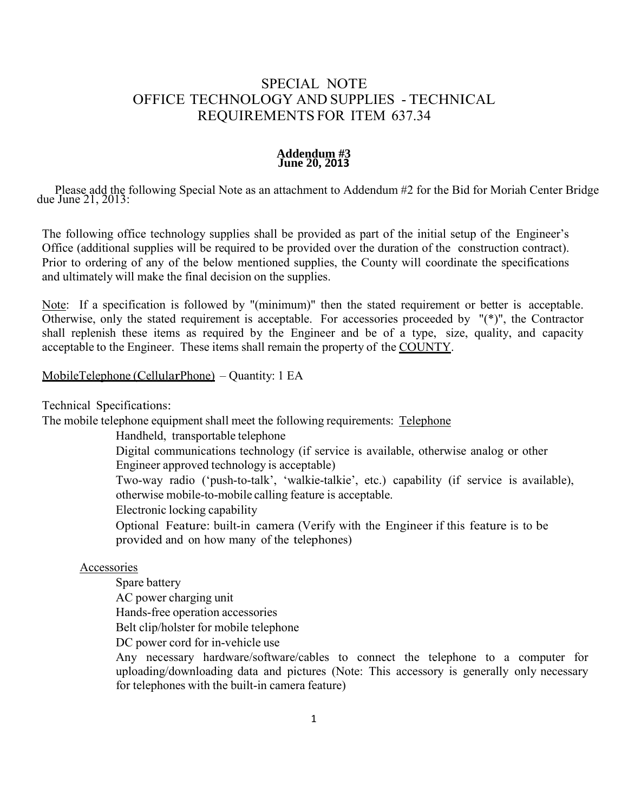#### **Addendum #3 June 20, 2013**

Please add the following Special Note as an attachment to Addendum #2 for the Bid for Moriah Center Bridge due June 21, 2013:

The following office technology supplies shall be provided as part of the initial setup of the Engineer's Office (additional supplies will be required to be provided over the duration of the construction contract). Prior to ordering of any of the below mentioned supplies, the County will coordinate the specifications and ultimately will make the final decision on the supplies.

Note: If a specification is followed by "(minimum)" then the stated requirement or better is acceptable. Otherwise, only the stated requirement is acceptable. For accessories proceeded by "(\*)", the Contractor shall replenish these items as required by the Engineer and be of a type, size, quality, and capacity acceptable to the Engineer. These items shall remain the property of the COUNTY.

#### MobileTelephone (CellularPhone) – Quantity: 1 EA

Technical Specifications:

The mobile telephone equipment shall meet the following requirements: Telephone

Handheld, transportable telephone

Digital communications technology (if service is available, otherwise analog or other Engineer approved technology is acceptable)

Two-way radio ('push-to-talk', 'walkie-talkie', etc.) capability (if service is available), otherwise mobile-to-mobile calling feature is acceptable.

Electronic locking capability

Optional Feature: built-in camera (Verify with the Engineer if this feature is to be provided and on how many of the telephones)

#### **Accessories**

Spare battery

AC power charging unit

Hands-free operation accessories

Belt clip/holster for mobile telephone

DC power cord for in-vehicle use

Any necessary hardware/software/cables to connect the telephone to a computer for uploading/downloading data and pictures (Note: This accessory is generally only necessary for telephones with the built-in camera feature)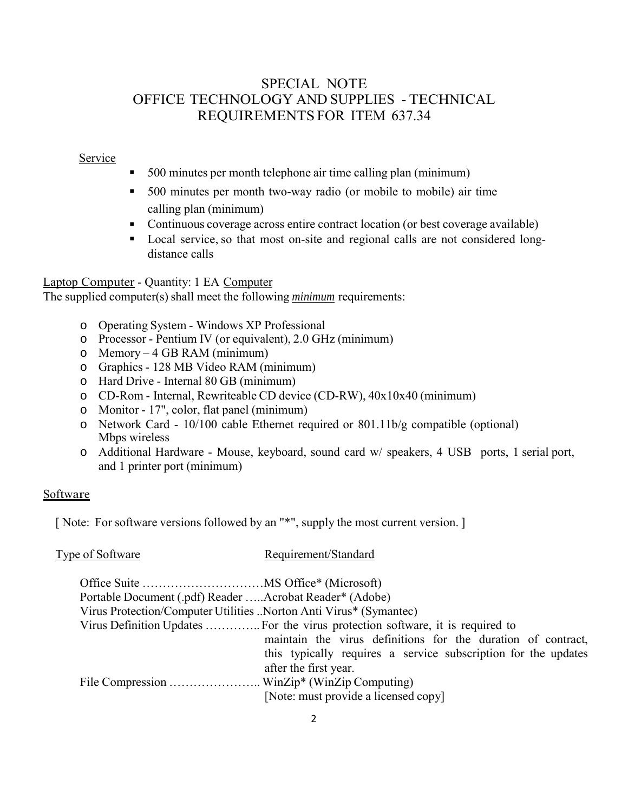#### Service

- 500 minutes per month telephone air time calling plan (minimum)
- 500 minutes per month two-way radio (or mobile to mobile) air time calling plan (minimum)
- Continuous coverage across entire contract location (or best coverage available)
- Local service, so that most on-site and regional calls are not considered longdistance calls

## Laptop Computer - Quantity: 1 EA Computer

The supplied computer(s) shall meet the following *minimum* requirements:

- o Operating System Windows XP Professional
- o Processor Pentium IV (or equivalent), 2.0 GHz (minimum)
- o Memory 4 GB RAM (minimum)
- o Graphics 128 MB Video RAM (minimum)
- o Hard Drive Internal 80 GB (minimum)
- o CD-Rom Internal, Rewriteable CD device (CD-RW), 40x10x40 (minimum)
- o Monitor 17", color, flat panel (minimum)
- o Network Card 10/100 cable Ethernet required or 801.11b/g compatible (optional) Mbps wireless
- o Additional Hardware Mouse, keyboard, sound card w/ speakers, 4 USB ports, 1 serial port, and 1 printer port (minimum)

### **Software**

[ Note: For software versions followed by an "\*", supply the most current version. ]

| Type of Software                                                  | Requirement/Standard                                                           |
|-------------------------------------------------------------------|--------------------------------------------------------------------------------|
|                                                                   |                                                                                |
| Portable Document (.pdf) Reader Acrobat Reader* (Adobe)           |                                                                                |
| Virus Protection/Computer Utilities Norton Anti Virus* (Symantec) |                                                                                |
|                                                                   | Virus Definition Updates  For the virus protection software, it is required to |
|                                                                   | maintain the virus definitions for the duration of contract,                   |
|                                                                   | this typically requires a service subscription for the updates                 |
|                                                                   | after the first year.                                                          |
|                                                                   |                                                                                |
|                                                                   | [Note: must provide a licensed copy]                                           |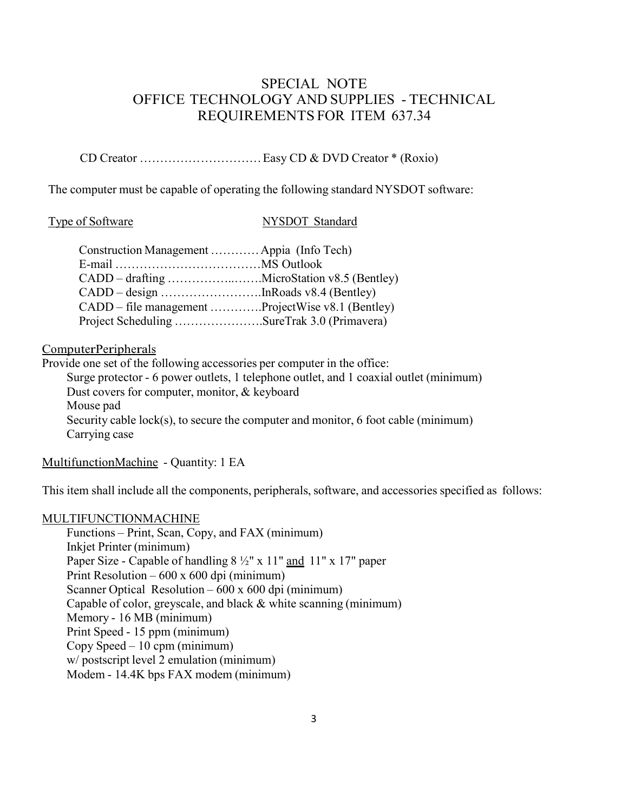CD Creator ………………………… Easy CD & DVD Creator \* (Roxio)

The computer must be capable of operating the following standard NYSDOT software:

#### Type of Software NYSDOT Standard

| Construction Management  Appia (Info Tech)        |  |
|---------------------------------------------------|--|
|                                                   |  |
|                                                   |  |
|                                                   |  |
| CADD – file management ProjectWise v8.1 (Bentley) |  |
| Project Scheduling SureTrak 3.0 (Primavera)       |  |

## ComputerPeripherals

Provide one set of the following accessories per computer in the office:

Surge protector - 6 power outlets, 1 telephone outlet, and 1 coaxial outlet (minimum) Dust covers for computer, monitor, & keyboard Mouse pad Security cable lock(s), to secure the computer and monitor, 6 foot cable (minimum) Carrying case

Multifunction Machine - Quantity: 1 EA

This item shall include all the components, peripherals, software, and accessories specified as follows:

#### MULTIFUNCTIONMACHINE

Functions – Print, Scan, Copy, and FAX (minimum) Inkjet Printer (minimum) Paper Size - Capable of handling  $8\frac{1}{2}$ " x 11" and 11" x 17" paper Print Resolution – 600 x 600 dpi (minimum) Scanner Optical Resolution – 600 x 600 dpi (minimum) Capable of color, greyscale, and black & white scanning (minimum) Memory - 16 MB (minimum) Print Speed - 15 ppm (minimum) Copy Speed – 10 cpm (minimum) w/ postscript level 2 emulation (minimum) Modem - 14.4K bps FAX modem (minimum)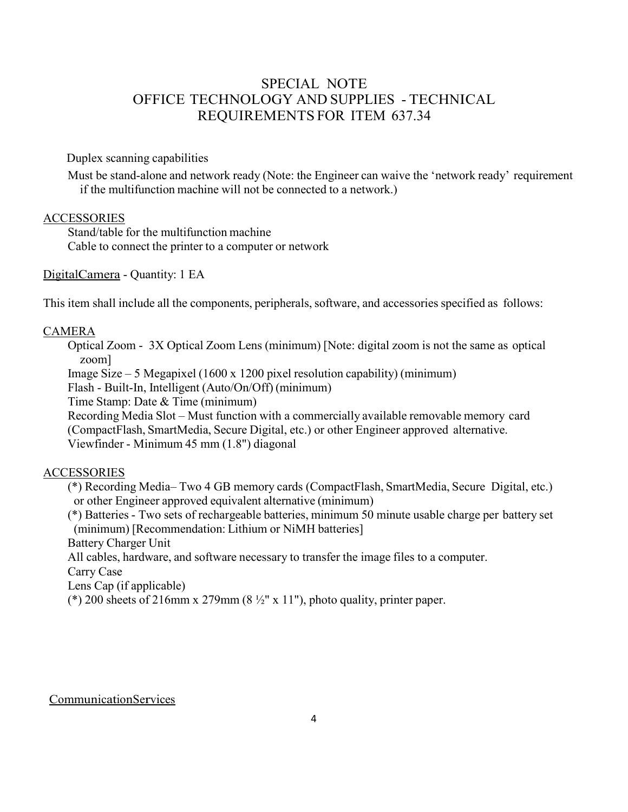Duplex scanning capabilities

Must be stand-alone and network ready (Note: the Engineer can waive the 'network ready' requirement if the multifunction machine will not be connected to a network.)

#### **ACCESSORIES**

Stand/table for the multifunction machine Cable to connect the printer to a computer or network

Digital Camera - Quantity: 1 EA

This item shall include all the components, peripherals, software, and accessories specified as follows:

#### CAMERA

Optical Zoom - 3X Optical Zoom Lens (minimum) [Note: digital zoom is not the same as optical zoom]

Image Size – 5 Megapixel (1600 x 1200 pixel resolution capability) (minimum)

Flash - Built-In, Intelligent (Auto/On/Off) (minimum)

Time Stamp: Date & Time (minimum)

Recording Media Slot – Must function with a commercially available removable memory card (CompactFlash, SmartMedia, Secure Digital, etc.) or other Engineer approved alternative.

Viewfinder - Minimum 45 mm (1.8") diagonal

### **ACCESSORIES**

(\*) Recording Media– Two 4 GB memory cards (CompactFlash, SmartMedia, Secure Digital, etc.) or other Engineer approved equivalent alternative (minimum)

(\*) Batteries - Two sets of rechargeable batteries, minimum 50 minute usable charge per battery set (minimum) [Recommendation: Lithium or NiMH batteries]

Battery Charger Unit

All cables, hardware, and software necessary to transfer the image files to a computer.

Carry Case

Lens Cap (if applicable)

(\*) 200 sheets of 216mm x 279mm (8  $\frac{1}{2}$ " x 11"), photo quality, printer paper.

### Communication Services